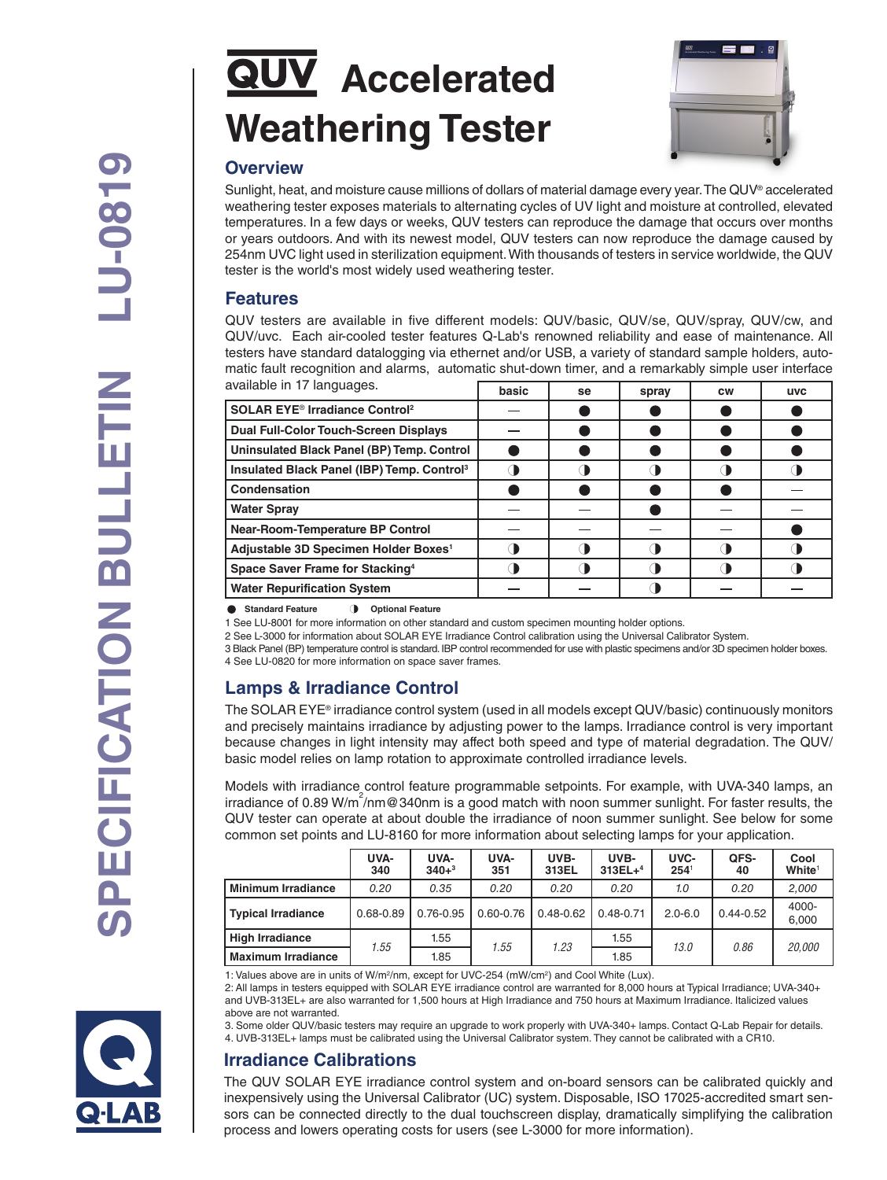# **QUV** Accelerated **Weathering Tester**



### **Overview**

Sunlight, heat, and moisture cause millions of dollars of material damage every year. The QUV® accelerated weathering tester exposes materials to alternating cycles of UV light and moisture at controlled, elevated temperatures. In a few days or weeks, QUV testers can reproduce the damage that occurs over months or years outdoors. And with its newest model, QUV testers can now reproduce the damage caused by 254nm UVC light used in sterilization equipment. With thousands of testers in service worldwide, the QUV tester is the world's most widely used weathering tester.

#### **Features**

QUV testers are available in five different models: QUV/basic, QUV/se, QUV/spray, QUV/cw, and QUV/uvc. Each air-cooled tester features Q-Lab's renowned reliability and ease of maintenance. All testers have standard datalogging via ethernet and/or USB, a variety of standard sample holders, automatic fault recognition and alarms, automatic shut-down timer, and a remarkably simple user interface available in 17 languages.

| avallable III II laliyuayes.                           | basic | se | spray | <b>CW</b> | <b>UVC</b> |
|--------------------------------------------------------|-------|----|-------|-----------|------------|
| SOLAR EYE <sup>®</sup> Irradiance Control <sup>2</sup> |       |    |       |           |            |
| <b>Dual Full-Color Touch-Screen Displays</b>           |       |    |       |           |            |
| Uninsulated Black Panel (BP) Temp. Control             |       |    |       |           |            |
| Insulated Black Panel (IBP) Temp. Control <sup>3</sup> |       |    |       |           |            |
| Condensation                                           |       |    |       |           |            |
| <b>Water Spray</b>                                     |       |    |       |           |            |
| <b>Near-Room-Temperature BP Control</b>                |       |    |       |           |            |
| Adjustable 3D Specimen Holder Boxes <sup>1</sup>       |       |    |       |           |            |
| Space Saver Frame for Stacking <sup>4</sup>            |       |    |       |           |            |
| <b>Water Repurification System</b>                     |       |    |       |           |            |

#### **C** Standard Feature **1** Optional Feature

1 See LU-8001 for more information on other standard and custom specimen mounting holder options.

2 See L-3000 for information about SOLAR EYE Irradiance Control calibration using the Universal Calibrator System.

3 Black Panel (BP) temperature control is standard. IBP control recommended for use with plastic specimens and/or 3D specimen holder boxes. 4 See LU-0820 for more information on space saver frames.

## **Lamps & Irradiance Control**

The SOLAR EYE® irradiance control system (used in all models except QUV/basic) continuously monitors and precisely maintains irradiance by adjusting power to the lamps. Irradiance control is very important because changes in light intensity may affect both speed and type of material degradation. The QUV/ basic model relies on lamp rotation to approximate controlled irradiance levels.

Models with irradiance control feature programmable setpoints. For example, with UVA-340 lamps, an irradiance of 0.89 W/m<sup>2</sup>/nm@340nm is a good match with noon summer sunlight. For faster results, the QUV tester can operate at about double the irradiance of noon summer sunlight. See below for some common set points and LU-8160 for more information about selecting lamps for your application.

|                      | UVA-<br>340 | UVA-<br>$340+3$ | UVA-<br>351   | UVB-<br>313EL | UVB-<br>$313EL+4$ | UVC-<br>$254^{\circ}$ | QFS-<br>40    | Cool<br>White <sup>1</sup> |
|----------------------|-------------|-----------------|---------------|---------------|-------------------|-----------------------|---------------|----------------------------|
| l Minimum Irradiance | 0.20        | 0.35            | 0.20          | 0.20          | 0.20              | 1.0                   | 0.20          | 2,000                      |
| Typical Irradiance   | 0.68-0.89   | $0.76 - 0.95$   | $0.60 - 0.76$ | $0.48 - 0.62$ | $0.48 - 0.71$     | $2.0 - 6.0$           | $0.44 - 0.52$ | 4000-<br>6.000             |
| High Irradiance      | 1.55        | 1.55            | 1.55          | 1.23          | 1.55              | 13.0                  | 0.86          | <i>20.000</i>              |
| l Maximum Irradiance |             | 1.85            |               |               | 1.85              |                       |               |                            |

1: Values above are in units of W/m<sup>2</sup>/nm, except for UVC-254 (mW/cm<sup>2</sup>) and Cool White (Lux).

2: All lamps in testers equipped with SOLAR EYE irradiance control are warranted for 8,000 hours at Typical Irradiance; UVA-340+ and UVB-313EL+ are also warranted for 1,500 hours at High Irradiance and 750 hours at Maximum Irradiance. Italicized values above are not warranted.

3. Some older QUV/basic testers may require an upgrade to work properly with UVA-340+ lamps. Contact Q-Lab Repair for details. 4. UVB-313EL+ lamps must be calibrated using the Universal Calibrator system. They cannot be calibrated with a CR10.

## **Irradiance Calibrations**

The QUV SOLAR EYE irradiance control system and on-board sensors can be calibrated quickly and inexpensively using the Universal Calibrator (UC) system. Disposable, ISO 17025-accredited smart sensors can be connected directly to the dual touchscreen display, dramatically simplifying the calibration process and lowers operating costs for users (see L-3000 for more information).